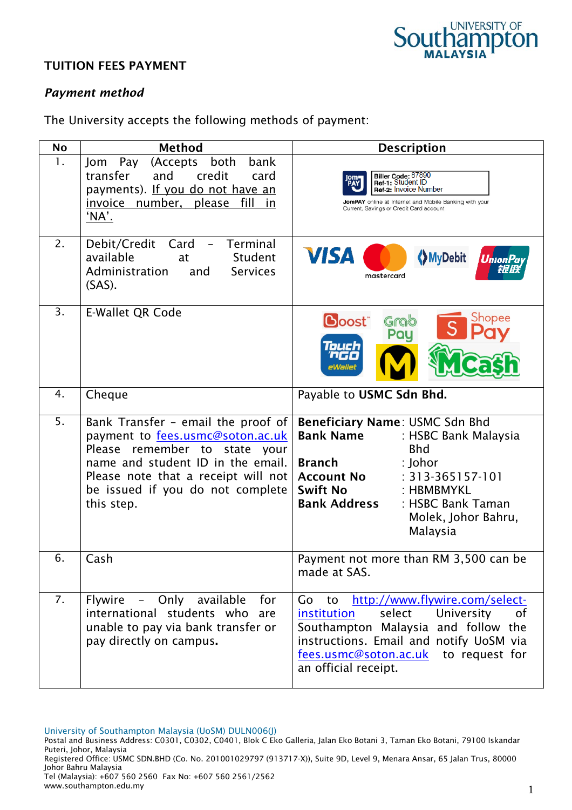

## TUITION FEES PAYMENT

## *Payment method*

The University accepts the following methods of payment:

| <b>No</b> | <b>Method</b>                                                                                                                                                                                                                         | <b>Description</b>                                                                                                                                                                                                                                                           |
|-----------|---------------------------------------------------------------------------------------------------------------------------------------------------------------------------------------------------------------------------------------|------------------------------------------------------------------------------------------------------------------------------------------------------------------------------------------------------------------------------------------------------------------------------|
| 1.        | (Accepts<br>both<br>bank<br>Pay<br>Jom<br>transfer<br>and<br>credit<br>card<br>payments). If you do not have an<br>invoice number,<br>please<br>fill<br><u>in</u><br>'NA'.                                                            | Biller Code: <sup>87890</sup><br>Ref-1: Student ID<br>Ref-2: Invoice Number<br>JomPAY online at Internet and Mobile Banking with your<br>Current, Savings or Credit Card account                                                                                             |
| 2.        | Debit/Credit<br><b>Terminal</b><br>Card<br>$\overline{\phantom{0}}$<br>available<br>Student<br>at<br>Administration<br><b>Services</b><br>and<br>$(SAS)$ .                                                                            | <b>VISA</b><br><b>MyDebit</b><br>UnionPa<br>mastercard                                                                                                                                                                                                                       |
| 3.        | <b>E-Wallet QR Code</b>                                                                                                                                                                                                               | Shopee<br><b>Boost</b><br>Grab<br>Pau<br>ouch                                                                                                                                                                                                                                |
| 4.        | Cheque                                                                                                                                                                                                                                | Payable to USMC Sdn Bhd.                                                                                                                                                                                                                                                     |
| 5.        | Bank Transfer - email the proof of<br>payment to fees.usmc@soton.ac.uk<br>Please remember to state your<br>name and student ID in the email.<br>Please note that a receipt will not<br>be issued if you do not complete<br>this step. | Beneficiary Name: USMC Sdn Bhd<br>Bank Name<br>: HSBC Bank Malaysia<br><b>Bhd</b><br><b>Branch</b><br>: Johor<br>$: 313 - 365157 - 101$<br><b>Account No</b><br><b>Swift No</b><br>: HBMBMYKL<br><b>Bank Address</b><br>: HSBC Bank Taman<br>Molek, Johor Bahru,<br>Malaysia |
| 6.        | Cash                                                                                                                                                                                                                                  | Payment not more than RM 3,500 can be<br>made at SAS.                                                                                                                                                                                                                        |
| 7.        | Flywire - Only available<br>for<br>international students who are<br>unable to pay via bank transfer or<br>pay directly on campus.                                                                                                    | http://www.flywire.com/select-<br>Go to<br>select<br>University<br>institution<br>0f<br>Southampton Malaysia and follow the<br>instructions. Email and notify UoSM via<br>fees.usmc@soton.ac.uk to request for<br>an official receipt.                                       |

University of Southampton Malaysia (UoSM) DULN006(J)

Johor Bahru Malaysia Tel (Malaysia): +607 560 2560 Fax No: +607 560 2561/2562 www.southampton.edu.my

Postal and Business Address: C0301, C0302, C0401, Blok C Eko Galleria, Jalan Eko Botani 3, Taman Eko Botani, 79100 Iskandar Puteri, Johor, Malaysia Registered Office: USMC SDN.BHD (Co. No. 201001029797 (913717-X)), Suite 9D, Level 9, Menara Ansar, 65 Jalan Trus, 80000